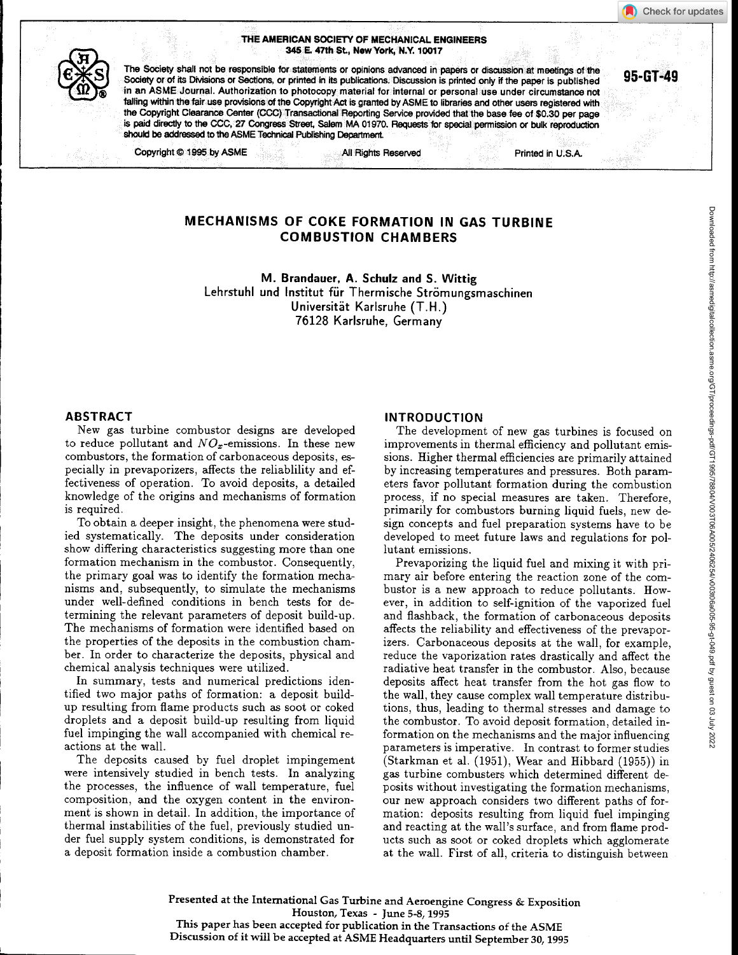|     |                                                                                                                                                                                                                                                                                                                                                                                                                                                                                                                                                                                                                                                                                                                                                   | Check for updates |  |
|-----|---------------------------------------------------------------------------------------------------------------------------------------------------------------------------------------------------------------------------------------------------------------------------------------------------------------------------------------------------------------------------------------------------------------------------------------------------------------------------------------------------------------------------------------------------------------------------------------------------------------------------------------------------------------------------------------------------------------------------------------------------|-------------------|--|
|     | THE AMERICAN SOCIETY OF MECHANICAL ENGINEERS<br>345 E. 47th St., New York, N.Y. 10017                                                                                                                                                                                                                                                                                                                                                                                                                                                                                                                                                                                                                                                             |                   |  |
| EXS | The Society shall not be responsible for statements or opinions advanced in papers or discussion at meetings of the<br>Society or of its Divisions or Sections, or printed in its publications. Discussion is printed only if the paper is published<br>in an ASME Journal. Authorization to photocopy material for internal or personal use under circumstance not<br>falling within the fair use provisions of the Copyright Act is granted by ASME to libraries and other users registered with<br>the Copyright Clearance Center (CCC) Transactional Reporting Service provided that the base fee of \$0.30 per page<br>is paid directly to the CCC, 27 Congress Street, Salem MA 01970. Requests for special permission or bulk reproduction | 95-GT-49          |  |
|     | should be addressed to the ASME Technical Publishing Department.<br>Copyright © 1995 by ASME<br>All Rights Reserved<br>Printed in U.S.A.                                                                                                                                                                                                                                                                                                                                                                                                                                                                                                                                                                                                          |                   |  |

# MECHANISMS OF COKE FORMATION IN GAS TURBINE COMBUSTION CHAMBERS

M. Brandauer, A. Schulz and S. Wittig Lehrstuhl und Institut für Thermische Strömungsmaschinen Universitat Karlsruhe (T.H.) 76128 Karlsruhe, Germany

## ABSTRACT

New gas turbine combustor designs are developed to reduce pollutant and  $NO<sub>x</sub>$ -emissions. In these new combustors, the formation of carbonaceous deposits, especially in prevaporizers, affects the reliablility and effectiveness of operation. To avoid deposits, a detailed knowledge of the origins and mechanisms of formation is required.

To obtain a deeper insight, the phenomena were studied systematically. The deposits under consideration show differing characteristics suggesting more than one formation mechanism in the combustor. Consequently, the primary goal was to identify the formation mechanisms and, subsequently, to simulate the mechanisms under well-defined conditions in bench tests for determining the relevant parameters of deposit build-up. The mechanisms of formation were identified based on the properties of the deposits in the combustion chamber. In order to characterize the deposits, physical and chemical analysis techniques were utilized.

In summary, tests and numerical predictions identified two major paths of formation: a deposit buildup resulting from flame products such as soot or coked droplets and a deposit build-up resulting from liquid fuel impinging the wall accompanied with chemical reactions at the wall.

The deposits caused by fuel droplet impingement were intensively studied in bench tests. In analyzing the processes, the influence of wall temperature, fuel composition, and the oxygen content in the environment is shown in detail. In addition, the importance of thermal instabilities of the fuel, previously studied under fuel supply system conditions, is demonstrated for a deposit formation inside a combustion chamber.

## INTRODUCTION

The development of new gas turbines is focused on improvements in thermal efficiency and pollutant emissions. Higher thermal efficiencies are primarily attained by increasing temperatures and pressures. Both parameters favor pollutant formation during the combustion process, if no special measures are taken. Therefore, primarily for combustors burning liquid fuels, new design concepts and fuel preparation systems have to be developed to meet future laws and regulations for pollutant emissions.

Prevaporizing the liquid fuel and mixing it with primary air before entering the reaction zone of the combustor is a new approach to reduce pollutants. However, in addition to self-ignition of the vaporized fuel and flashback, the formation of carbonaceous deposits affects the reliability and effectiveness of the prevaporizers. Carbonaceous deposits at the wall, for example, reduce the vaporization rates drastically and affect the radiative heat transfer in the combustor. Also, because deposits affect heat transfer from the hot gas flow to the wall, they cause complex wall temperature distributions, thus, leading to thermal stresses and damage to the combustor. To avoid deposit formation, detailed information on the mechanisms and the major influencing parameters is imperative. In contrast to former studies (Starkman et al. (1951), Wear and Hibbard (1955)) in gas turbine combusters which determined different deposits without investigating the formation mechanisms, our new approach considers two different paths of formation: deposits resulting from liquid fuel impinging and reacting at the wall's surface, and from flame products such as soot or coked droplets which agglomerate at the wall. First of all, criteria to distinguish between

Presented at the International Gas Turbine and Aeroengine Congress & Exposition Houston, Texas - June 5-8, 1995 This paper has been accepted for publication in the Transactions of the ASME Discussion of it will be accepted at ASME Headquarters until September 30, 1995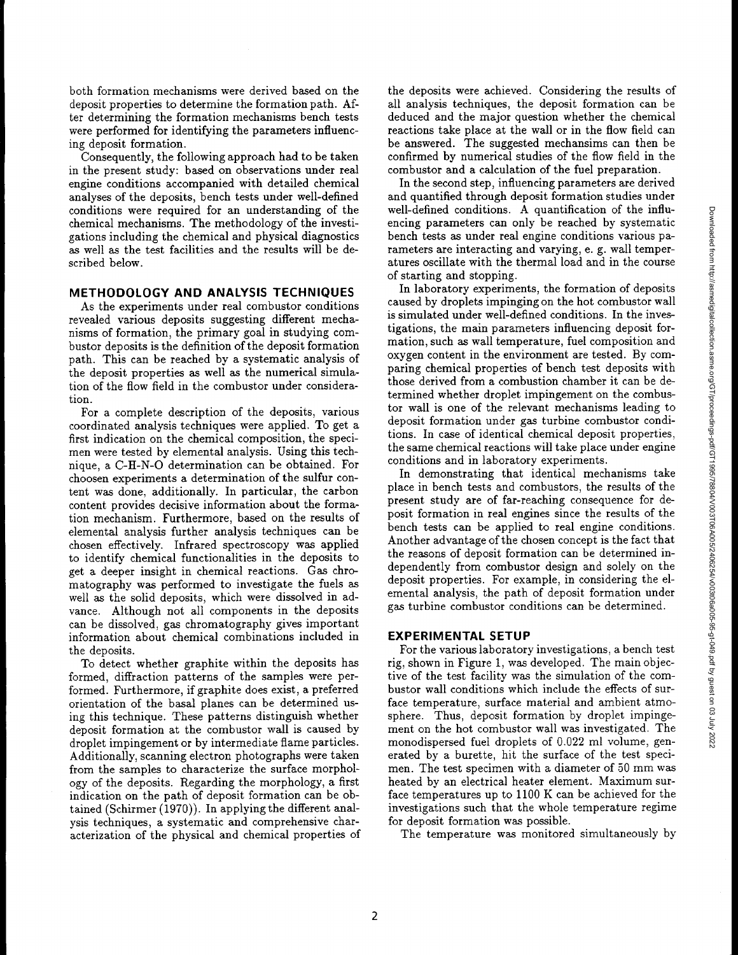both formation mechanisms were derived based on the deposit properties to determine the formation path. After determining the formation mechanisms bench tests were performed for identifying the parameters influencing deposit formation.

Consequently, the following approach had to be taken in the present study: based on observations under real engine conditions accompanied with detailed chemical analyses of the deposits, bench tests under well-defined conditions were required for an understanding of the chemical mechanisms. The methodology of the investigations including the chemical and physical diagnostics as well as the test facilities and the results will be described below.

# **METHODOLOGY AND ANALYSIS TECHNIQUES**

As the experiments under real combustor conditions revealed various deposits suggesting different mechanisms of formation, the primary goal in studying combustor deposits is the definition of the deposit formation path. This can be reached by a systematic analysis of the deposit properties as well as the numerical simulation of the flow field in the combustor under consideration.

For a complete description of the deposits, various coordinated analysis techniques were applied. To get a first indication on the chemical composition, the specimen were tested by elemental analysis. Using this technique, a C-H-N-O determination can be obtained. For choosen experiments a determination of the sulfur content was done, additionally. In particular, the carbon content provides decisive information about the formation mechanism. Furthermore, based on the results of elemental analysis further analysis techniques can be chosen effectively. Infrared spectroscopy was applied to identify chemical functionalities in the deposits to get a deeper insight in chemical reactions. Gas chromatography was performed to investigate the fuels as well as the solid deposits, which were dissolved in advance. Although not all components in the deposits can be dissolved, gas chromatography gives important information about chemical combinations included in the deposits.

To detect whether graphite within the deposits has formed, diffraction patterns of the samples were performed. Furthermore, if graphite does exist, a preferred orientation of the basal planes can be determined using this technique. These patterns distinguish whether deposit formation at the combustor wall is caused by droplet impingement or by intermediate flame particles. Additionally, scanning electron photographs were taken from the samples to characterize the surface morphology of the deposits. Regarding the morphology, a first indication on the path of deposit formation can be obtained (Schirmer (1970)). In applying the different analysis techniques, a systematic and comprehensive characterization of the physical and chemical properties of

the deposits were achieved. Considering the results of all analysis techniques, the deposit formation can be deduced and the major question whether the chemical reactions take place at the wall or in the flow field can be answered. The suggested mechansims can then be confirmed by numerical studies of the flow field in the combustor and a calculation of the fuel preparation.

In the second step, influencing parameters are derived and quantified through deposit formation studies under well-defined conditions. A quantification of the influencing parameters can only be reached by systematic bench tests as under real engine conditions various parameters are interacting and varying, e. g. wall temperatures oscillate with the thermal load and in the course of starting and stopping.

In laboratory experiments, the formation of deposits caused by droplets impinging on the hot combustor wall is simulated under well-defined conditions. In the investigations, the main parameters influencing deposit formation, such as wall temperature, fuel composition and oxygen content in the environment are tested. By comparing chemical properties of bench test deposits with those derived from a combustion chamber it can be determined whether droplet impingement on the combustor wall is one of the relevant mechanisms leading to deposit formation under gas turbine combustor conditions. In case of identical chemical deposit properties, the same chemical reactions will take place under engine conditions and in laboratory experiments.

In demonstrating that identical mechanisms take place in bench tests and combustors, the results of the present study are of far-reaching consequence for deposit formation in real engines since the results of the bench tests can be applied to real engine conditions. Another advantage of the chosen concept is the fact that the reasons of deposit formation can be determined independently from combustor design and solely on the deposit properties. For example, in considering the elemental analysis, the path of deposit formation under gas turbine combustor conditions can be determined.

#### **EXPERIMENTAL SETUP**

For the various laboratory investigations, a bench test rig, shown in Figure 1, was developed. The main objective of the test facility was the simulation of the combustor wall conditions which include the effects of surface temperature, surface material and ambient atmosphere. Thus, deposit formation by droplet impingement on the hot combustor wall was investigated. The monodispersed fuel droplets of 0.022 ml volume, generated by a burette, hit the surface of the test specimen. The test specimen with a diameter of 50 mm was heated by an electrical heater element. Maximum surface temperatures up to 1100 K can be achieved for the investigations such that the whole temperature regime for deposit formation was possible.

The temperature was monitored simultaneously by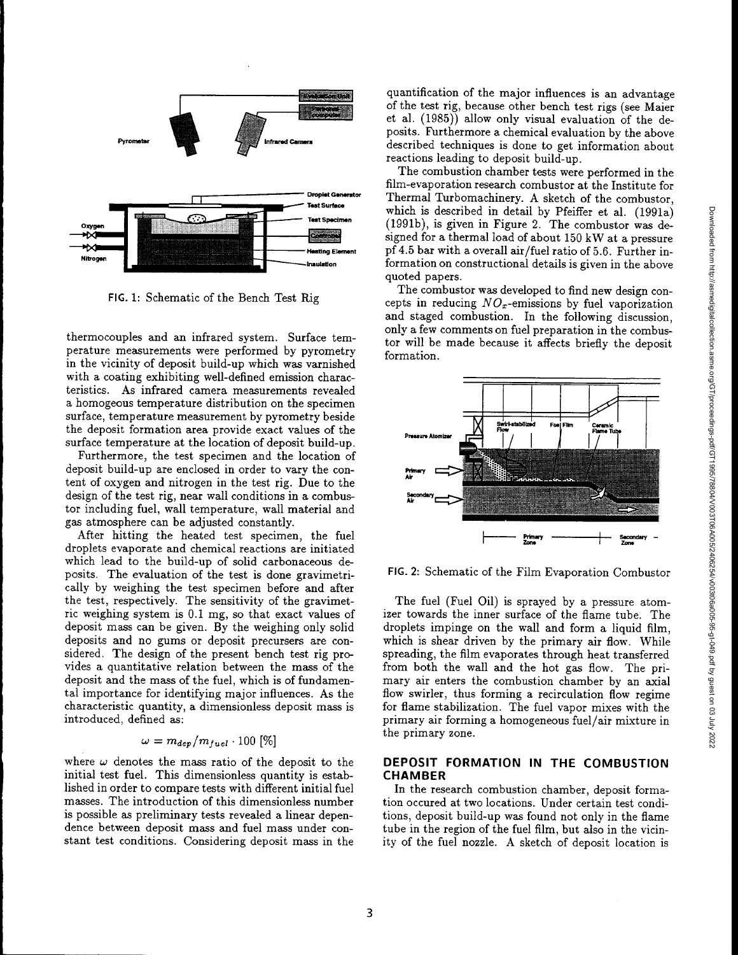

FIG. 1: Schematic of the Bench Test Rig

thermocouples and an infrared system. Surface temperature measurements were performed by pyrometry in the vicinity of deposit build-up which was varnished with a coating exhibiting well-defined emission characteristics. As infrared camera measurements revealed a homogeous temperature distribution on the specimen surface, temperature measurement by pyrometry beside the deposit formation area provide exact values of the surface temperature at the location of deposit build-up.

Furthermore, the test specimen and the location of deposit build-up are enclosed in order to vary the content of oxygen and nitrogen in the test rig. Due to the design of the test rig, near wall conditions in a combustor including fuel, wall temperature, wall material and gas atmosphere can be adjusted constantly.

After hitting the heated test specimen, the fuel droplets evaporate and chemical reactions are initiated which lead to the build-up of solid carbonaceous deposits. The evaluation of the test is done gravimetrically by weighing the test specimen before and after the test, respectively. The sensitivity of the gravimetric weighing system is 0.1 mg, so that exact values of deposit mass can be given. By the weighing only solid deposits and no gums or deposit precursers are considered. The design of the present bench test rig provides a quantitative relation between the mass of the deposit and the mass of the fuel, which is of fundamental importance for identifying major influences. As the characteristic quantity, a dimensionless deposit mass is introduced, defined as:

# $\omega = m_{dep}/m_{fuel} \cdot 100$  [%]

where  $\omega$  denotes the mass ratio of the deposit to the initial test fuel. This dimensionless quantity is established in order to compare tests with different initial fuel masses. The introduction of this dimensionless number is possible as preliminary tests revealed a linear dependence between deposit mass and fuel mass under constant test conditions. Considering deposit mass in the

quantification of the major influences is an advantage of the test rig, because other bench test rigs (see Maier et al. (1985)) allow only visual evaluation of the deposits. Furthermore a chemical evaluation by the above described techniques is done to get information about reactions leading to deposit build-up.

The combustion chamber tests were performed in the film-evaporation research combustor at the Institute for Thermal Turbomachinery. A sketch of the combustor, which is described in detail by Pfeiffer et al. (1991a) (1991b), is given in Figure 2. The combustor was designed for a thermal load of about 150 kW at a pressure pf 4.5 bar with a overall air/fuel ratio of 5.6. Further information on constructional details is given in the above quoted papers.

The combustor was developed to find new design concepts in reducing  $NO_x$ -emissions by fuel vaporization and staged combustion. In the following discussion, only a few comments on fuel preparation in the combustor will be made because it affects briefly the deposit formation.



FIG. 2: Schematic of the Film Evaporation Combustor

The fuel (Fuel Oil) is sprayed by a pressure atomizer towards the inner surface of the flame tube. The droplets impinge on the wall and form a liquid film, which is shear driven by the primary air flow. While spreading, the film evaporates through heat transferred from both the wall and the hot gas flow. The primary air enters the combustion chamber by an axial flow swirler, thus forming a recirculation flow regime for flame stabilization. The fuel vapor mixes with the primary air forming a homogeneous fuel/air mixture in the primary zone.

# **DEPOSIT FORMATION IN THE COMBUSTION CHAMBER**

In the research combustion chamber, deposit formation occured at two locations. Under certain test conditions, deposit build-up was found not only in the flame tube in the region of the fuel film, but also in the vicinity of the fuel nozzle. A sketch of deposit location is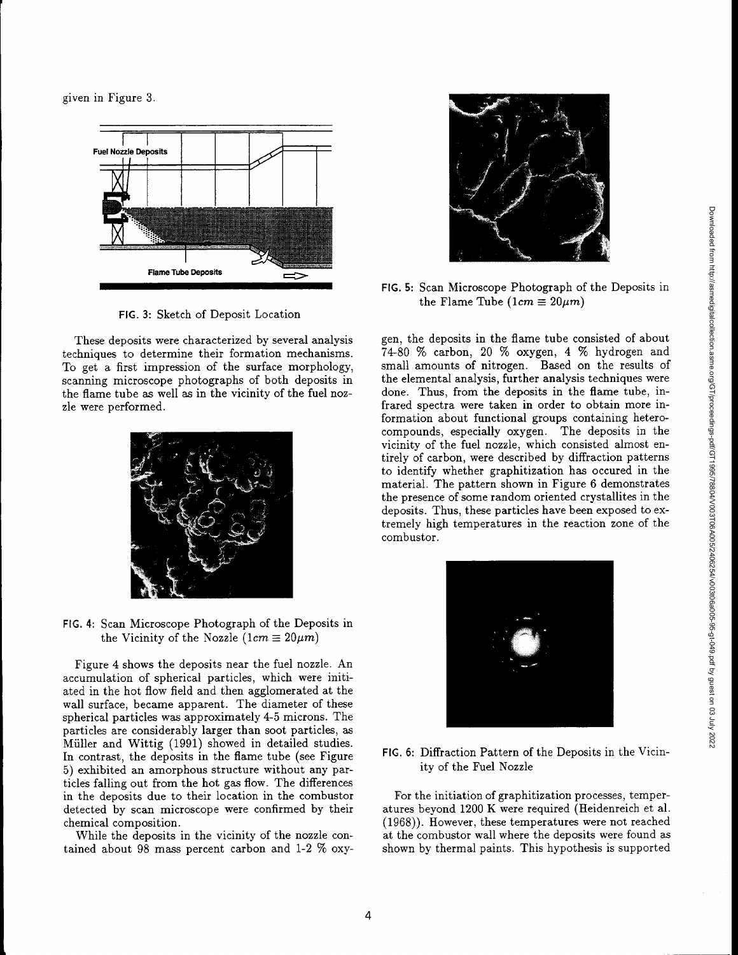given in Figure 3.



**FIG. 3:** Sketch of Deposit Location

These deposits were characterized by several analysis techniques to determine their formation mechanisms. To get a first impression of the surface morphology, scanning microscope photographs of both deposits in the flame tube as well as in the vicinity of the fuel nozzle were performed.



**FIG. 4:** Scan Microscope Photograph of the Deposits in the Vicinity of the Nozzle  $(1cm \equiv 20 \mu m)$ 

Figure 4 shows the deposits near the fuel nozzle. An accumulation of spherical particles, which were initiated in the hot flow field and then agglomerated at the wall surface, became apparent. The diameter of these spherical particles was approximately 4-5 microns. The particles are considerably larger than soot particles, as Müller and Wittig (1991) showed in detailed studies. In contrast, the deposits in the flame tube (see Figure 5) exhibited an amorphous structure without any particles falling out from the hot gas flow. The differences in the deposits due to their location in the combustor detected by scan microscope were confirmed by their chemical composition.

While the deposits in the vicinity of the nozzle contained about 98 mass percent carbon and 1-2 % oxy-



**FIG. 5:** Scan Microscope Photograph of the Deposits in the Flame Tube  $(1cm \equiv 20 \mu m)$ 

gen, the deposits in the flame tube consisted of about 74-80 % carbon, 20 % oxygen, 4 % hydrogen and small amounts of nitrogen. Based on the results of the elemental analysis, further analysis techniques were done. Thus, from the deposits in the flame tube, infrared spectra were taken in order to obtain more information about functional groups containing heterocompounds, especially oxygen. The deposits in the vicinity of the fuel nozzle, which consisted almost entirely of carbon, were described by diffraction patterns to identify whether graphitization has occured in the material. The pattern shown in Figure 6 demonstrates the presence of some random oriented crystallites in the deposits. Thus, these particles have been exposed to extremely high temperatures in the reaction zone of the combustor.



FIG. 6: Diffraction Pattern of the Deposits in the Vicinity of the Fuel Nozzle

For the initiation of graphitization processes, temperatures beyond 1200 K were required (Heidenreich et al. (1968)). However, these temperatures were not reached at the combustor wall where the deposits were found as shown by thermal paints. This hypothesis is supported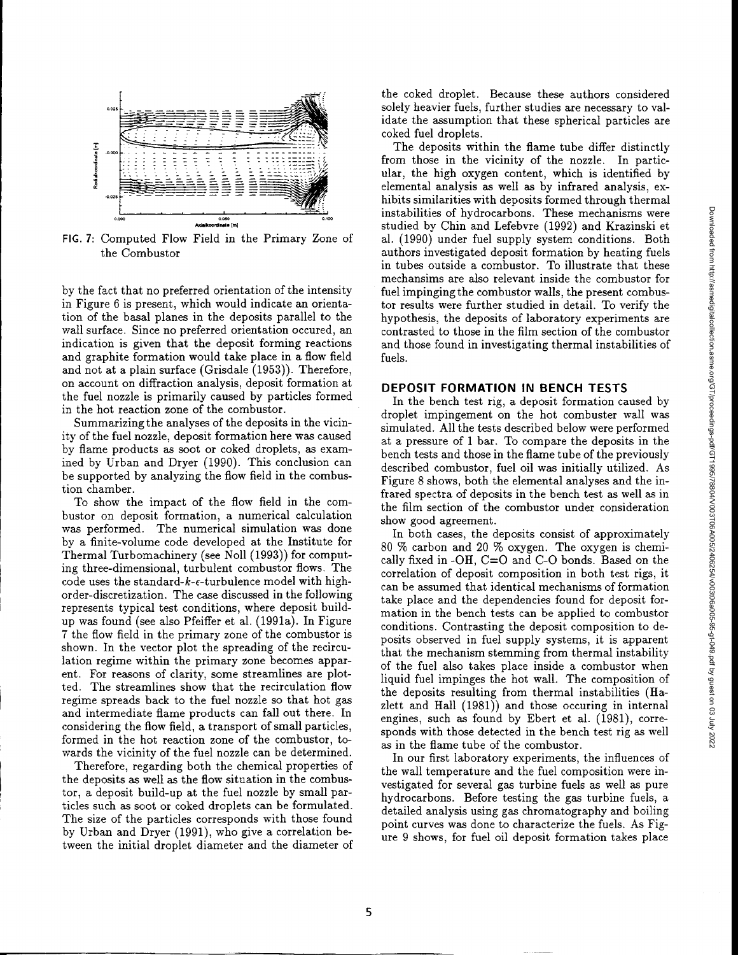

FIG. 7: Computed Flow Field in the Primary Zone of the Combustor

by the fact that no preferred orientation of the intensity in Figure 6 is present, which would indicate an orientation of the basal planes in the deposits parallel to the wall surface. Since no preferred orientation occured, an indication is given that the deposit forming reactions and graphite formation would take place in a flow field and not at a plain surface (Grisdale (1953)). Therefore, on account on diffraction analysis, deposit formation at the fuel nozzle is primarily caused by particles formed in the hot reaction zone of the combustor.

Summarizing the analyses of the deposits in the vicinity of the fuel nozzle, deposit formation here was caused by flame products as soot or coked droplets, as examined by Urban and Dryer (1990). This conclusion can be supported by analyzing the flow field in the combustion chamber.

To show the impact of the flow field in the combustor on deposit formation, a numerical calculation was performed. The numerical simulation was done by a finite-volume code developed at the Institute for Thermal Turbomachinery (see Noll (1993)) for computing three-dimensional, turbulent combustor flows. The code uses the standard- $k$ - $\epsilon$ -turbulence model with highorder-discretization. The case discussed in the following represents typical test conditions, where deposit buildup was found (see also Pfeiffer et al. (1991a). In Figure 7 the flow field in the primary zone of the combustor is shown. In the vector plot the spreading of the recirculation regime within the primary zone becomes apparent. For reasons of clarity, some streamlines are plotted. The streamlines show that the recirculation flow regime spreads back to the fuel nozzle so that hot gas and intermediate flame products can fall out there. In considering the flow field, a transport of small particles, formed in the hot reaction zone of the combustor, towards the vicinity of the fuel nozzle can be determined.

Therefore, regarding both the chemical properties of the deposits as well as the flow situation in the combustor, a deposit build-up at the fuel nozzle by small particles such as soot or coked droplets can be formulated. The size of the particles corresponds with those found by Urban and Dryer (1991), who give a correlation between the initial droplet diameter and the diameter of the coked droplet. Because these authors considered solely heavier fuels, further studies are necessary to validate the assumption that these spherical particles are coked fuel droplets.

The deposits within the flame tube differ distinctly from those in the vicinity of the nozzle. In particular, the high oxygen content, which is identified by elemental analysis as well as by infrared analysis, exhibits similarities with deposits formed through thermal instabilities of hydrocarbons. These mechanisms were studied by Chin and Lefebvre (1992) and Krazinski et al. (1990) under fuel supply system conditions. Both authors investigated deposit formation by heating fuels in tubes outside a combustor. To illustrate that these mechansims are also relevant inside the combustor for fuel impinging the combustor walls, the present combustor results were further studied in detail. To verify the hypothesis, the deposits of laboratory experiments are contrasted to those in the film section of the combustor and those found in investigating thermal instabilities of fuels.

## **DEPOSIT FORMATION IN BENCH TESTS**

In the bench test rig, a deposit formation caused by droplet impingement on the hot combuster wall was simulated. All the tests described below were performed at a pressure of 1 bar. To compare the deposits in the bench tests and those in the flame tube of the previously described combustor, fuel oil was initially utilized. As Figure 8 shows, both the elemental analyses and the infrared spectra of deposits in the bench test as well as in the film section of the combustor under consideration show good agreement.

In both cases, the deposits consist of approximately 80 % carbon and 20 % oxygen. The oxygen is chemically fixed in -OH, C=O and C-O bonds. Based on the correlation of deposit composition in both test rigs, it can be assumed that identical mechanisms of formation take place and the dependencies found for deposit formation in the bench tests can be applied to combustor conditions. Contrasting the deposit composition to deposits observed in fuel supply systems, it is apparent that the mechanism stemming from thermal instability of the fuel also takes place inside a combustor when liquid fuel impinges the hot wall. The composition of the deposits resulting from thermal instabilities (Hazlett and Hall (1981)) and those occuring in internal engines, such as found by Ebert et al. (1981), corresponds with those detected in the bench test rig as well as in the flame tube of the combustor.

In our first laboratory experiments, the influences of the wall temperature and the fuel composition were investigated for several gas turbine fuels as well as pure hydrocarbons. Before testing the gas turbine fuels, a detailed analysis using gas chromatography and boiling point curves was done to characterize the fuels. As Figure 9 shows, for fuel oil deposit formation takes place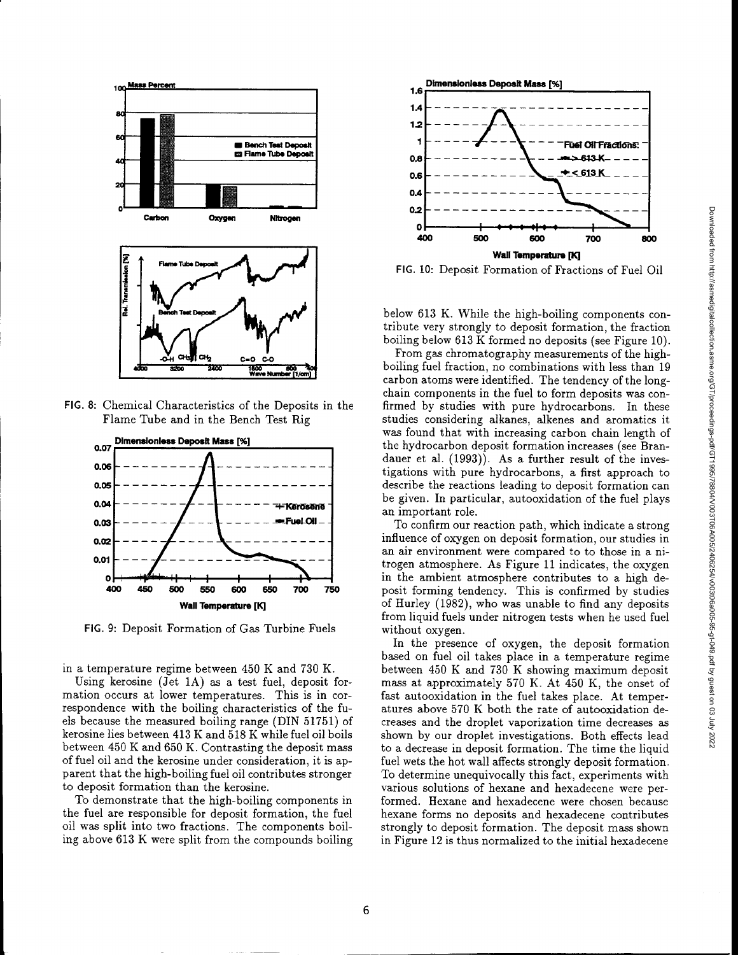



FIG. 8: Chemical Characteristics of the Deposits in the Flame Tube and in the Bench Test Rig



FIG. 9: Deposit Formation of Gas Turbine Fuels

in a temperature regime between 450 K and 730 K.

Using kerosine (Jet 1A) as a test fuel, deposit formation occurs at lower temperatures. This is in correspondence with the boiling characteristics of the fuels because the measured boiling range (DIN 51751) of kerosine lies between 413 K and 518 K while fuel oil boils between 450 K and 650 K. Contrasting the deposit mass of fuel oil and the kerosine under consideration, it is apparent that the high-boiling fuel oil contributes stronger to deposit formation than the kerosine.

To demonstrate that the high-boiling components in the fuel are responsible for deposit formation, the fuel oil was split into two fractions. The components boiling above 613 K were split from the compounds boiling



FIG. 10: Deposit Formation of Fractions of Fuel Oil

below 613 K. While the high-boiling components contribute very strongly to deposit formation, the fraction boiling below 613 K formed no deposits (see Figure 10).

From gas chromatography measurements of the highboiling fuel fraction, no combinations with less than 19 carbon atoms were identified. The tendency of the longchain components in the fuel to form deposits was confirmed by studies with pure hydrocarbons. In these studies considering alkanes, alkenes and aromatics it was found that with increasing carbon chain length of the hydrocarbon deposit formation increases (see Brandauer et al. (1993)). As a further result of the investigations with pure hydrocarbons, a first approach to describe the reactions leading to deposit formation can be given. In particular, autooxidation of the fuel plays an important role.

To confirm our reaction path, which indicate a strong influence of oxygen on deposit formation, our studies in an air environment were compared to to those in a nitrogen atmosphere. As Figure 11 indicates, the oxygen in the ambient atmosphere contributes to a high deposit forming tendency. This is confirmed by studies of Hurley (1982), who was unable to find any deposits from liquid fuels under nitrogen tests when he used fuel without oxygen.

In the presence of oxygen, the deposit formation based on fuel oil takes place in a temperature regime between 450 K and 730 K showing maximum deposit mass at approximately 570 K. At 450 K, the onset of fast autooxidation in the fuel takes place. At temperatures above 570 K both the rate of autooxidation decreases and the droplet vaporization time decreases as shown by our droplet investigations. Both effects lead to a decrease in deposit formation. The time the liquid fuel wets the hot wall affects strongly deposit formation. To determine unequivocally this fact, experiments with various solutions of hexane and hexadecene were performed. Hexane and hexadecene were chosen because hexane forms no deposits and hexadecene contributes strongly to deposit formation. The deposit mass shown in Figure 12 is thus normalized to the initial hexadecene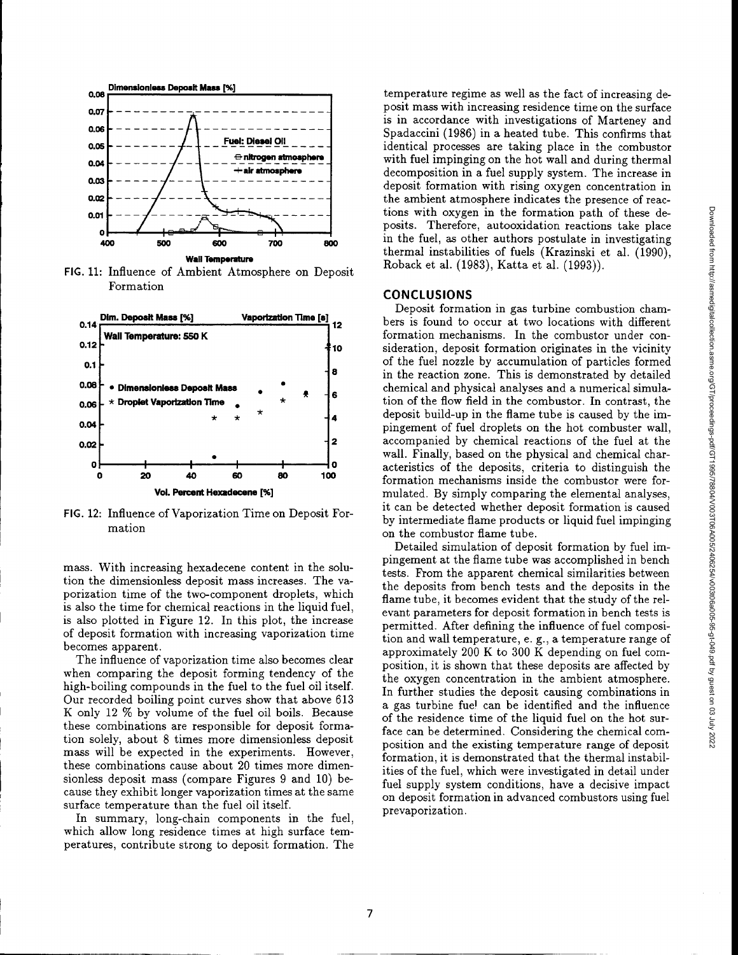

FIG. 11: Influence of Ambient Atmosphere on Deposit Formation



FIG. 12: Influence of Vaporization Time on Deposit Formation

mass. With increasing hexadecene content in the solution the dimensionless deposit mass increases. The vaporization time of the two-component droplets, which is also the time for chemical reactions in the liquid fuel, is also plotted in Figure 12. In this plot, the increase of deposit formation with increasing vaporization time becomes apparent.

The influence of vaporization time also becomes clear when comparing the deposit forming tendency of the high-boiling compounds in the fuel to the fuel oil itself. Our recorded boiling point curves show that above 613 K only 12 % by volume of the fuel oil boils. Because these combinations are responsible for deposit formation solely, about 8 times more dimensionless deposit mass will be expected in the experiments. However, these combinations cause about 20 times more dimensionless deposit mass (compare Figures 9 and 10) because they exhibit longer vaporization times at the same surface temperature than the fuel oil itself.

In summary, long-chain components in the fuel, which allow long residence times at high surface temperatures, contribute strong to deposit formation. The

temperature regime as well as the fact of increasing deposit mass with increasing residence time on the surface is in accordance with investigations of Marteney and Spadaccini (1986) in a heated tube. This confirms that identical processes are taking place in the combustor with fuel impinging on the hot wall and during thermal decomposition in a fuel supply system. The increase in deposit formation with rising oxygen concentration in the ambient atmosphere indicates the presence of reactions with oxygen in the formation path of these deposits. Therefore, autooxidation reactions take place in the fuel, as other authors postulate in investigating thermal instabilities of fuels (Krazinski et al. (1990), Roback et al. (1983), Katta et al. (1993)).

# **CONCLUSIONS**

Deposit formation in gas turbine combustion chambers is found to occur at two locations with different formation mechanisms. In the combustor under consideration, deposit formation originates in the vicinity of the fuel nozzle by accumulation of particles formed in the reaction zone. This is demonstrated by detailed chemical and physical analyses and a numerical simulation of the flow field in the combustor. In contrast, the deposit build-up in the flame tube is caused by the impingement of fuel droplets on the hot combuster wall, accompanied by chemical reactions of the fuel at the wall. Finally, based on the physical and chemical characteristics of the deposits, criteria to distinguish the formation mechanisms inside the combustor were formulated. By simply comparing the elemental analyses, it can be detected whether deposit formation is caused by intermediate flame products or liquid fuel impinging on the combustor flame tube.

Detailed simulation of deposit formation by fuel impingement at the flame tube was accomplished in bench tests. From the apparent chemical similarities between the deposits from bench tests and the deposits in the flame tube, it becomes evident that the study of the relevant parameters for deposit formation in bench tests is permitted. After defining the influence of fuel composition and wall temperature, e. g., a temperature range of approximately 200 K to 300 K depending on fuel composition, it is shown that these deposits are affected by the oxygen concentration in the ambient atmosphere. In further studies the deposit causing combinations in a gas turbine fuel can be identified and the influence of the residence time of the liquid fuel on the hot surface can be determined. Considering the chemical composition and the existing temperature range of deposit formation, it is demonstrated that the thermal instabilities of the fuel, which were investigated in detail under fuel supply system conditions, have a decisive impact on deposit formation in advanced combustors using fuel prevaporization.